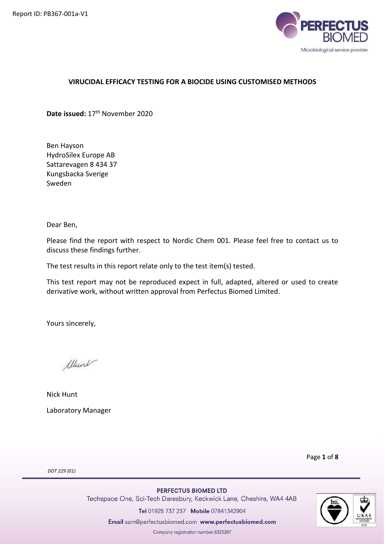

# VIRUCIDAL EFFICACY TESTING FOR A BIOCIDE USING CUSTOMISED METHODS

Date issued: 17<sup>th</sup> November 2020

Ben Hayson HydroSilex Europe AB Sattarevagen 8 434 37 Kungsbacka Sverige Sweden

Dear Ben,

Please find the report with respect to Nordic Chem 001. Please feel free to contact us to discuss these findings further.

The test results in this report relate only to the test item(s) tested.

This test report may not be reproduced expect in full, adapted, altered or used to create derivative work, without written approval from Perfectus Biomed Limited.

Yours sincerely,

When

Nick Hunt Laboratory Manager

Page 1 of 8

DOT 229 (01)

PERFECTUS BIOMED LTD

Techspace One, Sci-Tech Daresbury, Keckwick Lane, Cheshire, WA4 4AB

Tel 01925 737 237 Mobile 07841342904

Email sam@perfectusbiomed.com www.perfectusbiomed.com

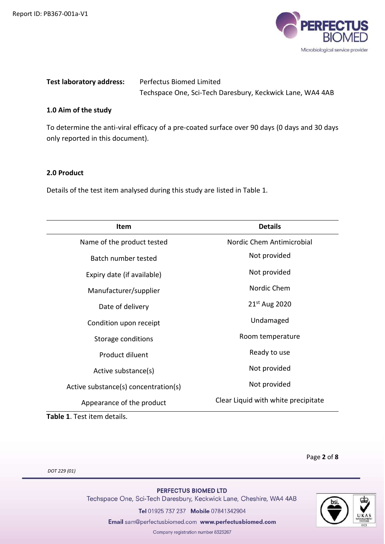

| <b>Test laboratory address:</b> | Perfectus Biomed Limited                                  |
|---------------------------------|-----------------------------------------------------------|
|                                 | Techspace One, Sci-Tech Daresbury, Keckwick Lane, WA4 4AB |

# 1.0 Aim of the study

To determine the anti-viral efficacy of a pre-coated surface over 90 days (0 days and 30 days only reported in this document).

### 2.0 Product

Details of the test item analysed during this study are listed in Table 1.

| Item                                 | <b>Details</b>                      |
|--------------------------------------|-------------------------------------|
| Name of the product tested           | Nordic Chem Antimicrobial           |
| <b>Batch number tested</b>           | Not provided                        |
| Expiry date (if available)           | Not provided                        |
| Manufacturer/supplier                | Nordic Chem                         |
| Date of delivery                     | 21 <sup>st</sup> Aug 2020           |
| Condition upon receipt               | Undamaged                           |
| Storage conditions                   | Room temperature                    |
| Product diluent                      | Ready to use                        |
| Active substance(s)                  | Not provided                        |
| Active substance(s) concentration(s) | Not provided                        |
| Appearance of the product            | Clear Liquid with white precipitate |

Table 1. Test item details.

Page 2 of 8

DOT 229 (01)

PERFECTUS BIOMED LTD Techspace One, Sci-Tech Daresbury, Keckwick Lane, Cheshire, WA4 4AB Tel 01925 737 237 Mobile 07841342904

Email sam@perfectusbiomed.com www.perfectusbiomed.com

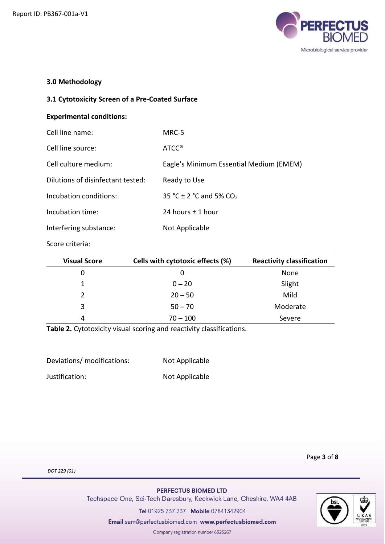

# 3.0 Methodology

## 3.1 Cytotoxicity Screen of a Pre-Coated Surface

### Experimental conditions:

| Cell line name:                   | MRC-5                                   |
|-----------------------------------|-----------------------------------------|
| Cell line source:                 | ATCC <sup>®</sup>                       |
| Cell culture medium:              | Eagle's Minimum Essential Medium (EMEM) |
| Dilutions of disinfectant tested: | Ready to Use                            |
| Incubation conditions:            | 35 °C $\pm$ 2 °C and 5% CO <sub>2</sub> |
| Incubation time:                  | 24 hours $\pm$ 1 hour                   |
| Interfering substance:            | Not Applicable                          |
|                                   |                                         |

Score criteria:

| <b>Visual Score</b> | Cells with cytotoxic effects (%) | <b>Reactivity classification</b> |
|---------------------|----------------------------------|----------------------------------|
| 0                   | 0                                | None                             |
|                     | $0 - 20$                         | Slight                           |
| $\mathcal{P}$       | $20 - 50$                        | Mild                             |
| 3                   | $50 - 70$                        | Moderate                         |
| 4                   | $70 - 100$                       | Severe                           |

Table 2. Cytotoxicity visual scoring and reactivity classifications.

| Deviations/ modifications: | Not Applicable |
|----------------------------|----------------|
| Justification:             | Not Applicable |

Page 3 of 8

DOT 229 (01)

PERFECTUS BIOMED LTD

Techspace One, Sci-Tech Daresbury, Keckwick Lane, Cheshire, WA4 4AB

Tel 01925 737 237 Mobile 07841342904

Email sam@perfectusbiomed.com www.perfectusbiomed.com

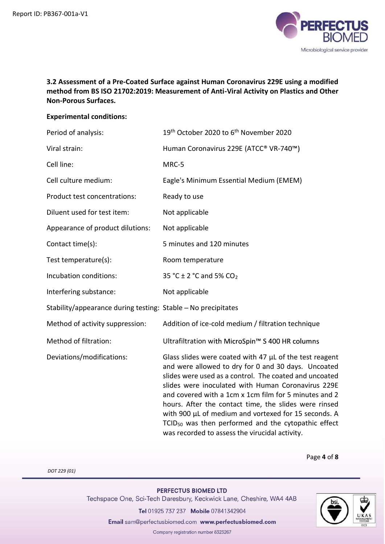

# 3.2 Assessment of a Pre-Coated Surface against Human Coronavirus 229E using a modified method from BS ISO 21702:2019: Measurement of Anti-Viral Activity on Plastics and Other Non-Porous Surfaces.

### Experimental conditions:

| Period of analysis:                                           | 19 <sup>th</sup> October 2020 to 6 <sup>th</sup> November 2020                                                                                                                                                                                                                                                                                                                                                                                                                                                                     |
|---------------------------------------------------------------|------------------------------------------------------------------------------------------------------------------------------------------------------------------------------------------------------------------------------------------------------------------------------------------------------------------------------------------------------------------------------------------------------------------------------------------------------------------------------------------------------------------------------------|
| Viral strain:                                                 | Human Coronavirus 229E (ATCC® VR-740™)                                                                                                                                                                                                                                                                                                                                                                                                                                                                                             |
| Cell line:                                                    | MRC-5                                                                                                                                                                                                                                                                                                                                                                                                                                                                                                                              |
| Cell culture medium:                                          | Eagle's Minimum Essential Medium (EMEM)                                                                                                                                                                                                                                                                                                                                                                                                                                                                                            |
| Product test concentrations:                                  | Ready to use                                                                                                                                                                                                                                                                                                                                                                                                                                                                                                                       |
| Diluent used for test item:                                   | Not applicable                                                                                                                                                                                                                                                                                                                                                                                                                                                                                                                     |
| Appearance of product dilutions:                              | Not applicable                                                                                                                                                                                                                                                                                                                                                                                                                                                                                                                     |
| Contact time(s):                                              | 5 minutes and 120 minutes                                                                                                                                                                                                                                                                                                                                                                                                                                                                                                          |
| Test temperature(s):                                          | Room temperature                                                                                                                                                                                                                                                                                                                                                                                                                                                                                                                   |
| Incubation conditions:                                        | 35 °C ± 2 °C and 5% CO <sub>2</sub>                                                                                                                                                                                                                                                                                                                                                                                                                                                                                                |
| Interfering substance:                                        | Not applicable                                                                                                                                                                                                                                                                                                                                                                                                                                                                                                                     |
| Stability/appearance during testing: Stable - No precipitates |                                                                                                                                                                                                                                                                                                                                                                                                                                                                                                                                    |
| Method of activity suppression:                               | Addition of ice-cold medium / filtration technique                                                                                                                                                                                                                                                                                                                                                                                                                                                                                 |
| Method of filtration:                                         | Ultrafiltration with MicroSpin <sup>™</sup> S 400 HR columns                                                                                                                                                                                                                                                                                                                                                                                                                                                                       |
| Deviations/modifications:                                     | Glass slides were coated with 47 $\mu$ L of the test reagent<br>and were allowed to dry for 0 and 30 days. Uncoated<br>slides were used as a control. The coated and uncoated<br>slides were inoculated with Human Coronavirus 229E<br>and covered with a 1cm x 1cm film for 5 minutes and 2<br>hours. After the contact time, the slides were rinsed<br>with 900 µL of medium and vortexed for 15 seconds. A<br>TCID <sub>50</sub> was then performed and the cytopathic effect<br>was recorded to assess the virucidal activity. |

Page 4 of 8

DOT 229 (01)

## PERFECTUS BIOMED LTD

Techspace One, Sci-Tech Daresbury, Keckwick Lane, Cheshire, WA4 4AB

Tel 01925 737 237 Mobile 07841342904

Email sam@perfectusbiomed.com www.perfectusbiomed.com

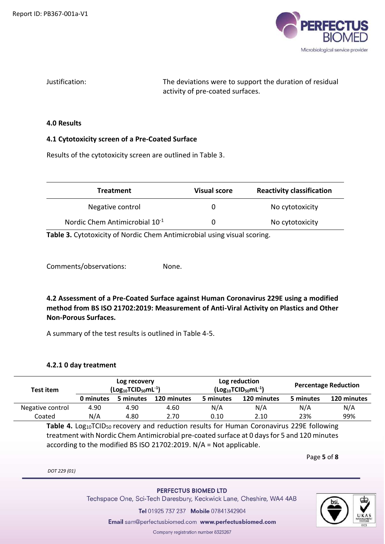

Justification: The deviations were to support the duration of residual activity of pre-coated surfaces.

#### 4.0 Results

## 4.1 Cytotoxicity screen of a Pre-Coated Surface

Results of the cytotoxicity screen are outlined in Table 3.

| <b>Treatment</b>                           | <b>Visual score</b> | <b>Reactivity classification</b> |
|--------------------------------------------|---------------------|----------------------------------|
| Negative control                           | O                   | No cytotoxicity                  |
| Nordic Chem Antimicrobial 10 <sup>-1</sup> | 0                   | No cytotoxicity                  |

Table 3. Cytotoxicity of Nordic Chem Antimicrobial using visual scoring.

Comments/observations: None.

4.2 Assessment of a Pre-Coated Surface against Human Coronavirus 229E using a modified method from BS ISO 21702:2019: Measurement of Anti-Viral Activity on Plastics and Other Non-Porous Surfaces.

A summary of the test results is outlined in Table 4-5.

#### 4.2.1 0 day treatment

| Test item        |           | Log recovery<br>$\left(\text{Log}_{10}\text{TCID}_{50}\text{mL}^{-1}\right)$ |             |                          | Log reduction<br>$\left(\text{Log}_{10}\text{TCID}_{50}\text{mL}^{-1}\right)$ | <b>Percentage Reduction</b> |             |  |
|------------------|-----------|------------------------------------------------------------------------------|-------------|--------------------------|-------------------------------------------------------------------------------|-----------------------------|-------------|--|
|                  | 0 minutes | 5 minutes                                                                    | 120 minutes | 120 minutes<br>5 minutes |                                                                               | 5 minutes                   | 120 minutes |  |
| Negative control | 4.90      | 4.90                                                                         | 4.60        | N/A                      | N/A                                                                           | N/A                         | N/A         |  |
| Coated           | N/A       | 4.80                                                                         | 2.70        | 0.10                     | 2.10                                                                          | 23%                         | 99%         |  |

Table 4. Log<sub>10</sub>TCID<sub>50</sub> recovery and reduction results for Human Coronavirus 229E following treatment with Nordic Chem Antimicrobial pre-coated surface at 0 days for 5 and 120 minutes according to the modified BS ISO 21702:2019. N/A = Not applicable.

Page 5 of 8

DOT 229 (01)

#### PERFECTUS BIOMED LTD

Techspace One, Sci-Tech Daresbury, Keckwick Lane, Cheshire, WA4 4AB

Tel 01925 737 237 Mobile 07841342904

Email sam@perfectusbiomed.com www.perfectusbiomed.com

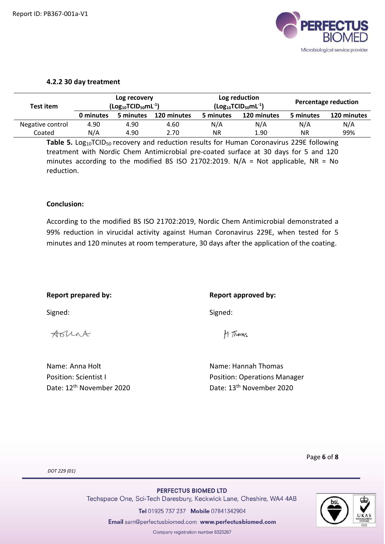

### 4.2.2 30 day treatment

| Test item        | Log recovery<br>$\left(\text{Log}_{10}\text{TCID}_{50}\text{mL}^{\text{-1}}\right)$ |           |             | Log reduction<br>$\left(\text{Log}_{10}\text{TCID}_{50}\text{mL}^{-1}\right)$ | Percentage reduction |           |             |
|------------------|-------------------------------------------------------------------------------------|-----------|-------------|-------------------------------------------------------------------------------|----------------------|-----------|-------------|
|                  | 0 minutes                                                                           | 5 minutes | 120 minutes | 5 minutes                                                                     | 120 minutes          | 5 minutes | 120 minutes |
| Negative control | 4.90                                                                                | 4.90      | 4.60        | N/A                                                                           | N/A                  | N/A       | N/A         |
| Coated           | N/A                                                                                 | 4.90      | 2.70        | ΝR                                                                            | 1.90                 | <b>NR</b> | 99%         |

Table 5. Log<sub>10</sub>TCID<sub>50</sub> recovery and reduction results for Human Coronavirus 229E following treatment with Nordic Chem Antimicrobial pre-coated surface at 30 days for 5 and 120 minutes according to the modified BS ISO 21702:2019.  $N/A = Not$  applicable, NR = No reduction.

### Conclusion:

According to the modified BS ISO 21702:2019, Nordic Chem Antimicrobial demonstrated a 99% reduction in virucidal activity against Human Coronavirus 229E, when tested for 5 minutes and 120 minutes at room temperature, 30 days after the application of the coating.

| Report prepared by: | Report approved by: |
|---------------------|---------------------|
| Signed:             | Signed:             |

Aount

H. Thomas

Name: Anna Holt Name: Hannah Thomas Position: Scientist I **Position: Operations Manager** Date: 12<sup>th</sup> November 2020 Date: 13<sup>th</sup> November 2020

Page 6 of 8

DOT 229 (01)

PERFECTUS BIOMED LTD Techspace One, Sci-Tech Daresbury, Keckwick Lane, Cheshire, WA4 4AB

Tel 01925 737 237 Mobile 07841342904

Email sam@perfectusbiomed.com www.perfectusbiomed.com

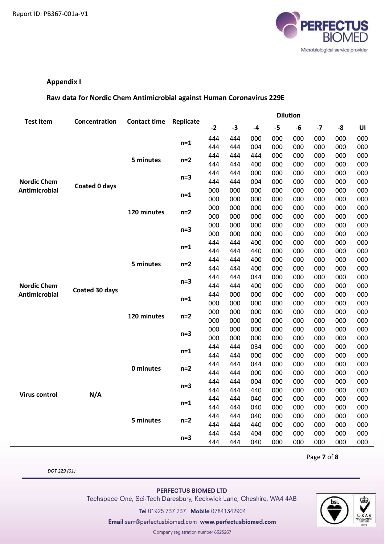

# Appendix I

## Raw data for Nordic Chem Antimicrobial against Human Coronavirus 229E

|                      |                      |                     |                |            | <b>Dilution</b> |            |            |            |            |            |            |  |
|----------------------|----------------------|---------------------|----------------|------------|-----------------|------------|------------|------------|------------|------------|------------|--|
| <b>Test item</b>     | Concentration        | <b>Contact time</b> | Replicate      | $-2$       | $-3$            | -4         | $-5$       | -6         | $-7$       | -8         | UI         |  |
|                      |                      |                     |                | 444        | 444             | 000        | 000        | 000        | 000        | 000        | 000        |  |
|                      |                      |                     | $n=1$          | 444        | 444             | 004        | 000        | 000        | 000        | 000        | 000        |  |
|                      |                      | 5 minutes           |                | 444        | 444             | 444        | 000        | 000        | 000        | 000        | 000        |  |
|                      |                      |                     | $n=2$          | 444        | 444             | 400        | 000        | 000        | 000        | 000        | 000        |  |
|                      |                      |                     | $n=3$          | 444        | 444             | 000        | 000        | 000        | 000        | 000        | 000        |  |
| <b>Nordic Chem</b>   | <b>Coated 0 days</b> |                     |                | 444        | 444             | 004        | 000        | 000        | 000        | 000        | 000        |  |
| <b>Antimicrobial</b> |                      |                     | $n=1$          | 000        | 000             | 000        | 000        | 000        | 000        | 000        | 000        |  |
|                      |                      |                     |                | 000        | 000             | 000        | 000        | 000        | 000        | 000        | 000        |  |
|                      |                      | 120 minutes         | $n=2$          | 000        | 000             | 000        | 000        | 000        | 000        | 000        | 000        |  |
|                      |                      |                     |                | 000        | 000             | 000        | 000        | 000        | 000        | 000        | 000        |  |
|                      |                      |                     | $n=3$          | 000        | 000             | 000        | 000        | 000        | 000        | 000        | 000        |  |
|                      |                      |                     |                | 000        | 000             | 000        | 000        | 000        | 000        | 000        | 000        |  |
|                      |                      |                     | $n=1$          | 444        | 444             | 400        | 000        | 000        | 000        | 000        | 000        |  |
|                      |                      |                     |                | 444        | 444             | 440        | 000        | 000        | 000        | 000        | 000        |  |
|                      |                      | 5 minutes           | $n=2$<br>$n=3$ | 444        | 444             | 400        | 000        | 000        | 000        | 000        | 000        |  |
|                      |                      | 120 minutes         |                | 444        | 444             | 400        | 000        | 000        | 000        | 000        | 000        |  |
|                      |                      |                     |                | 444        | 444             | 044        | 000        | 000        | 000        | 000        | 000        |  |
| <b>Nordic Chem</b>   | Coated 30 days       |                     |                | 444        | 444             | 400        | 000        | 000        | 000        | 000        | 000        |  |
| Antimicrobial        |                      |                     | $n=1$          | 444        | 000             | 000        | 000        | 000        | 000        | 000        | 000        |  |
|                      |                      |                     |                | 000        | 000             | 000        | 000        | 000        | 000        | 000        | 000        |  |
|                      |                      |                     | $n=2$<br>$n=3$ | 000        | 000             | 000        | 000        | 000        | 000        | 000        | 000        |  |
|                      |                      |                     |                | 000        | 000             | 000        | 000        | 000        | 000        | 000        | 000        |  |
|                      |                      |                     |                | 000        | 000             | 000        | 000        | 000        | 000        | 000        | 000        |  |
|                      |                      |                     |                | 000        | 000             | 000        | 000        | 000        | 000        | 000        | 000        |  |
|                      |                      |                     | $n=1$          | 444        | 444             | 034        | 000        | 000        | 000        | 000        | 000        |  |
|                      |                      |                     |                | 444        | 444             | 000        | 000        | 000        | 000        | 000        | 000        |  |
|                      |                      | 0 minutes           | n=2            | 444        | 444             | 044        | 000        | 000        | 000        | 000        | 000        |  |
|                      |                      |                     |                | 444        | 444             | 000        | 000        | 000        | 000        | 000        | 000        |  |
|                      |                      |                     | $n=3$          | 444        | 444             | 004        | 000        | 000        | 000        | 000        | 000        |  |
| <b>Virus control</b> | N/A                  |                     |                | 444        | 444             | 440        | 000        | 000        | 000        | 000        | 000        |  |
|                      |                      |                     | $n=1$          | 444        | 444             | 040        | 000        | 000<br>000 | 000        | 000        | 000        |  |
|                      |                      |                     |                | 444        | 444             | 040        | 000        |            | 000        | 000        | 000        |  |
|                      |                      | 5 minutes           | $n=2$          | 444<br>444 | 444<br>444      | 040        | 000<br>000 | 000<br>000 | 000<br>000 | 000<br>000 | 000        |  |
|                      |                      |                     |                |            |                 | 440<br>404 | 000        | 000        | 000        | 000        | 000<br>000 |  |
|                      |                      |                     | $n=3$          | 444        | 444             |            |            |            |            |            |            |  |
|                      |                      |                     |                | 444        | 444             | 040        | 000        | 000        | 000        | 000        | 000        |  |

Page 7 of 8

DOT 229 (01)

PERFECTUS BIOMED LTD

Techspace One, Sci-Tech Daresbury, Keckwick Lane, Cheshire, WA4 4AB

Tel 01925 737 237 Mobile 07841342904

Email sam@perfectusbiomed.com www.perfectusbiomed.com